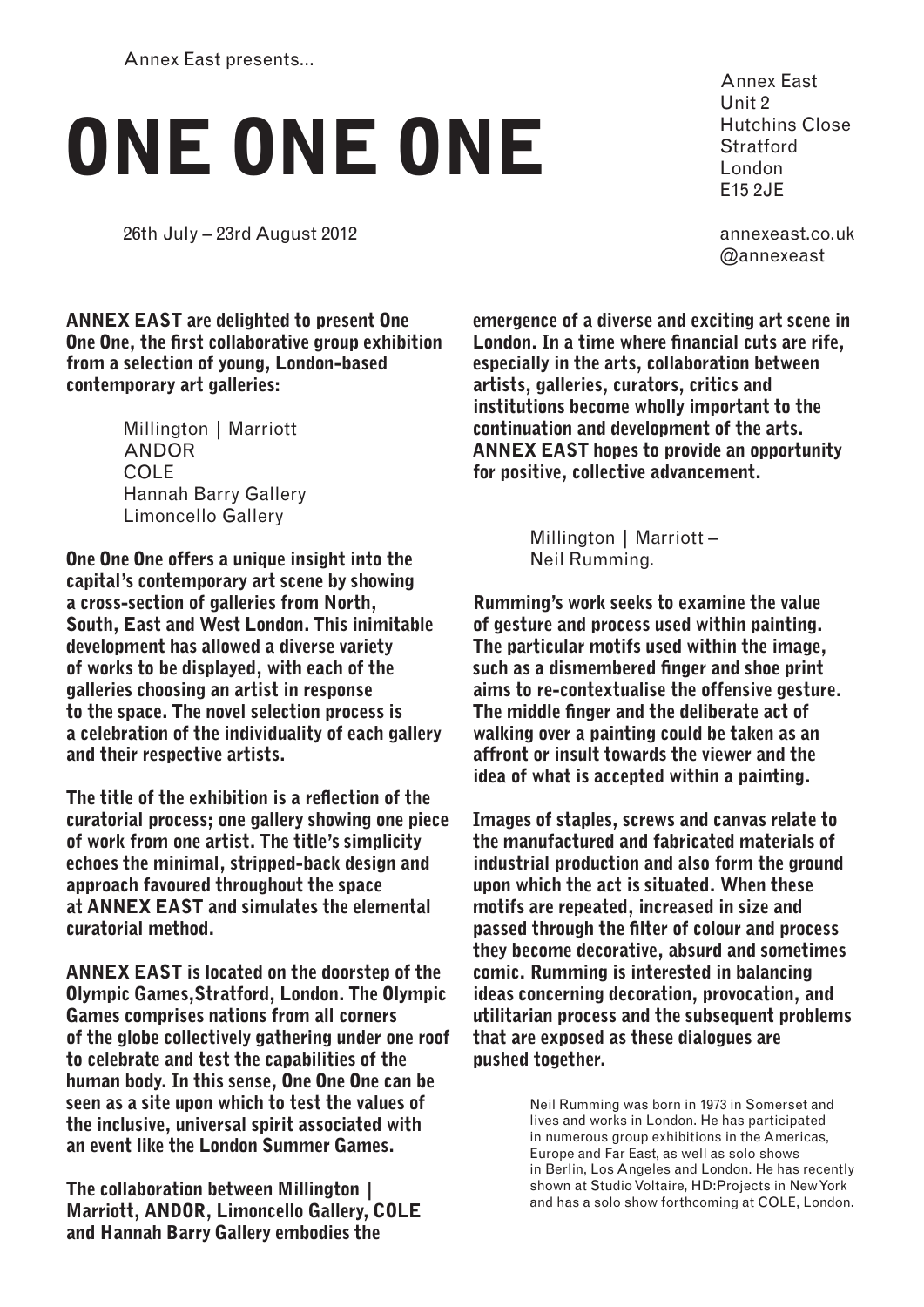Annex East presents...

## ONE ONE ONE

26th July – 23rd August 2012

Annex East Unit 2 Hutchins Close **Stratford** London E15 2JE

annexeast.co.uk @annexeast

ANNEX EAST are delighted to present One One One, the first collaborative group exhibition from a selection of young, London-based contemporary art galleries:

> Millington | Marriott ANDOR COLE Hannah Barry Gallery Limoncello Gallery

One One One offers a unique insight into the capital's contemporary art scene by showing a cross-section of galleries from North, South, East and West London. This inimitable development has allowed a diverse variety of works to be displayed, with each of the galleries choosing an artist in response to the space. The novel selection process is a celebration of the individuality of each gallery and their respective artists.

The title of the exhibition is a reflection of the curatorial process; one gallery showing one piece of work from one artist. The title's simplicity echoes the minimal, stripped-back design and approach favoured throughout the space at ANNEX EAST and simulates the elemental curatorial method.

ANNEX EAST is located on the doorstep of the Olympic Games,Stratford, London. The Olympic Games comprises nations from all corners of the globe collectively gathering under one roof to celebrate and test the capabilities of the human body. In this sense, One One One can be seen as a site upon which to test the values of the inclusive, universal spirit associated with an event like the London Summer Games.

The collaboration between Millington | Marriott, ANDOR, Limoncello Gallery, COLE and Hannah Barry Gallery embodies the

emergence of a diverse and exciting art scene in London. In a time where financial cuts are rife, especially in the arts, collaboration between artists, galleries, curators, critics and institutions become wholly important to the continuation and development of the arts. ANNEX EAST hopes to provide an opportunity for positive, collective advancement.

> Millington | Marriott – Neil Rumming.

Rumming's work seeks to examine the value of gesture and process used within painting. The particular motifs used within the image, such as a dismembered finger and shoe print aims to re-contextualise the offensive gesture. The middle finger and the deliberate act of walking over a painting could be taken as an affront or insult towards the viewer and the idea of what is accepted within a painting.

Images of staples, screws and canvas relate to the manufactured and fabricated materials of industrial production and also form the ground upon which the act is situated. When these motifs are repeated, increased in size and passed through the filter of colour and process they become decorative, absurd and sometimes comic. Rumming is interested in balancing ideas concerning decoration, provocation, and utilitarian process and the subsequent problems that are exposed as these dialogues are pushed together.

> Neil Rumming was born in 1973 in Somerset and lives and works in London. He has participated in numerous group exhibitions in the Americas, Europe and Far East, as well as solo shows in Berlin, Los Angeles and London. He has recently shown at Studio Voltaire, HD:Projects in New York and has a solo show forthcoming at COLE, London.